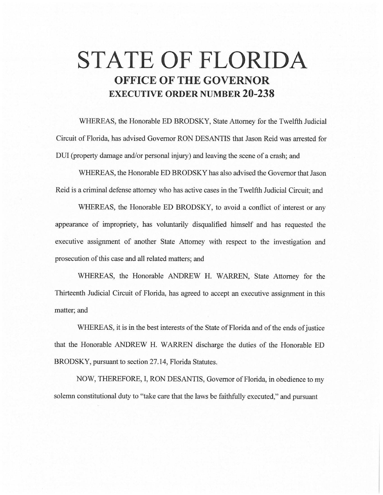## **STATE OF FLORIDA OFFICE OF THE GOVERNOR EXECUTIVE ORDER NUMBER 20-238**

WHEREAS, the Honorable ED BRODSKY, State Attorney for the Twelfth Judicial Circuit of Florida, has advised Governor RON DESANTIS that Jason Reid was arrested for DUI (property damage and/or personal injury) and leaving the scene of a crash; and

WHEREAS, the Honorable ED BRODSKY has also advised the Governor that Jason Reid is a criminal defense attorney who has active cases in the Twelfth Judicial Circuit; and

WHEREAS, the Honorable ED BRODSKY, to avoid a conflict of interest or any appearance of impropriety, has voluntarily disqualified himself and has requested the executive assignment of another State Attorney with respect to the investigation and prosecution of this case and all related matters; and

WHEREAS, the Honorable ANDREW H. WARREN, State Attorney for the Thirteenth Judicial Circuit of Florida, has agreed to accept an executive assignment in this matter; and

WHEREAS, it is in the best interests of the State of Florida and of the ends of justice that the Honorable ANDREW H. WARREN discharge the duties of the Honorable ED BRODSKY, pursuant to section 27.14, Florida Statutes.

NOW, THEREFORE, I, RON DESANTIS, Governor of Florida, in obedience to my solemn constitutional duty to "take care that the laws be faithfully executed," and pursuant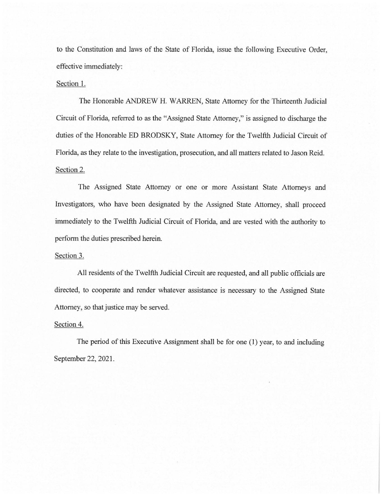to the Constitution and laws of the State of Florida, issue the following Executive Order, effective immediately:

## Section 1.

The Honorable ANDREW H. WARREN, State Attorney for the Thirteenth Judicial Circuit of Florida, referred to as the "Assigned State Attorney," is assigned to discharge the duties of the Honorable ED BRODSKY, State Attorney for the Twelfth Judicial Circuit of Florida, as they relate to the investigation, prosecution, and all matters related to Jason Reid. Section 2.

The Assigned State Attorney or one or more Assistant State Attorneys and Investigators, who have been designated by the Assigned State Attorney, shall proceed immediately to the Twelfth Judicial Circuit of Florida, and are vested with the authority to perform the duties prescribed herein.

## Section 3.

All residents of the Twelfth Judicial Circuit are requested, and all public officials are directed, to cooperate and render whatever assistance is necessary to the Assigned State Attorney, so that justice may be served.

## Section 4.

The period of this Executive Assignment shall be for one (1) year, to and including September 22, 2021.